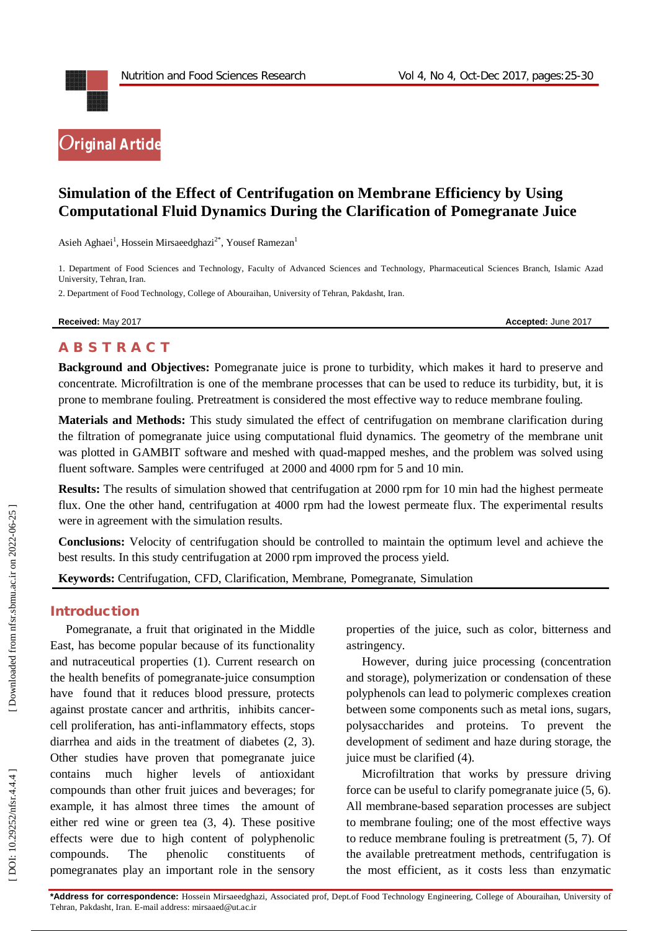

# **Simulation of the Effect of Centrifugation on Membrane Efficiency by Using Computational Fluid Dynamics During the Clarification of Pomegranate Juice**

Asieh Aghaei<sup>1</sup>, Hossein Mirsaeedghazi<sup>2\*</sup>, Yousef Ramezan<sup>1</sup>

1. Department of Food Sciences and Technology, Faculty of Advanced Sciences and Technology, Pharmaceutical Sciences Branch, Islamic Azad University, Tehran, Iran .

2. Department of Food Technology, College of Abouraihan, University of Tehran, Pakdasht, Iran.

**Received:** May 201

7 **Accepted:** June 201 7

## **A B S T R A C T**

**Background and Objectives:** Pomegranate juice is prone to turbidity, which makes it hard to preserve and concentrate. Microfiltration is one of the membrane processes that can be used to reduce its turbidity, but, it is prone to membrane fouling. Pretreatment is considered the most effective way to reduce membrane fouling.

**Materials and Methods:** This study simulated the effect of centrifugation on membrane clarification during the filtration of pomegranate juice using computational fluid dynamics. The geometry of the membrane unit was plotted in GAMBIT software and meshed with quad -mapped meshes, and the problem was solved using fluent software. Samples were centrifuged at 2000 and 4000 rpm for 5 and 10 min.

**Results:** The results of simulation showed that centrifugation at 2000 rpm for 10 min had the highest permeate flux. One the other hand, centrifugation at 4000 rpm had the lowest permeate flux. The experimental results were in agreement with the simulation results.

**Conclusions:**  Velocity of centrifugation should be controlled to maintain the optimum level and achieve the best results. In this study centrifugation at 2000 rpm improved the process yield.

Keywords: Centrifugation, CFD, Clarification, Membrane, Pomegranate, Simulation

#### **Introduction**

Pomegranate, a fruit that originated in the Middle East, has become popular because of its functionality and nutraceutical properties (1). Current research on the health benefits of pomegranate -juice consumption have found that it reduces blood pressure, protects against prostate cancer and arthritis, inhibits cancer cell proliferation, has anti -inflammatory effects, stops diarrhea and aids in the treatment of diabetes (2, 3). Other studies have proven that pomegranate juice contains much higher levels of antioxidant compounds than other fruit juices and beverages; for example, it has almost three times the amount of either red wine or green tea (3, 4). These positive effects were due to high content of polyphenolic compounds. The phenolic constituents of pomegranates play an important role in the sensory

properties of the juice, such as color, bitterness and astringency.

However, during juice processing (concentration and storage), polymerization or condensation of these polyphenols can lead to polymeric complexes creation between some components such as metal ions, sugars, polysaccharides and proteins. To prevent the development of sediment and haze during storage, the juice must be clarified (4).

Microfiltration that works by pressure driving force can be useful to clarify pomegranate juice (5, 6). All membrane -based separation processes are subject to membrane fouling; one of the most effective ways to reduce membrane fouling is pretreatment (5, 7). Of the available pretreatment methods, centrifugation is the most efficient, as it costs less than enzymatic

DOI: 10.29252/nfsr.4.4.4]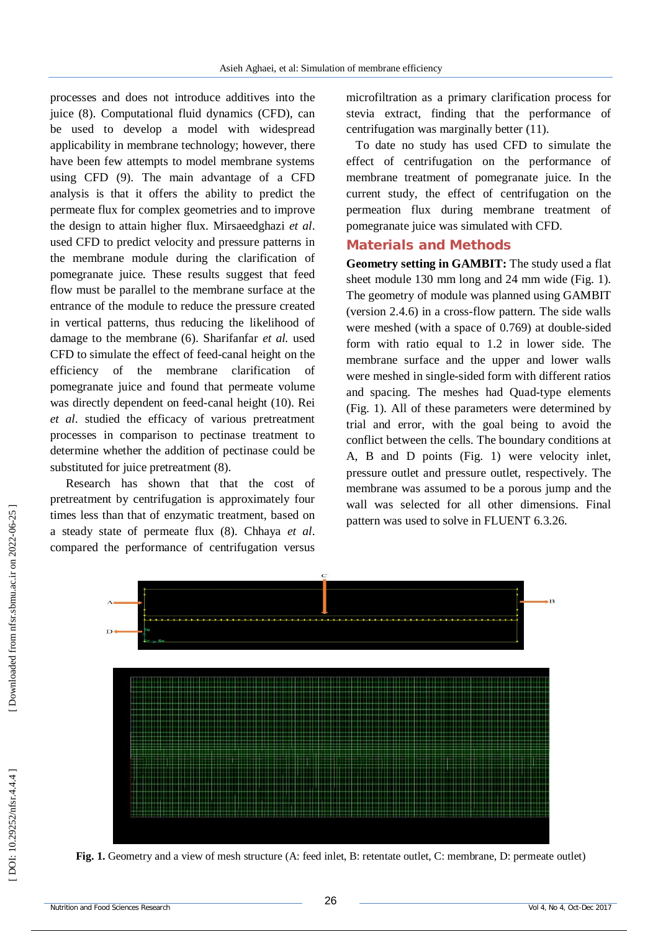processes and does not introduce additives into the juice (8). Computational fluid dynamics (CFD), can be used to develop a model with widespread applicability in membrane technology; however, there have been few attempts to model membrane systems using CFD (9). The main advantage of a CFD analysis is that it offers the ability to predict the permeate flux for complex geometries and to improve the design to attain higher flux. Mirsaeedghazi *et al*. used CFD to predict velocity and pressure patterns in the membrane module during the clarification of pomegranate juice. These results suggest that feed flow must be parallel to the membrane surface at the entrance of the module to reduce the pressure created in vertical patterns, thus reducing the likelihood of damage to the membrane (6). Sharifanfar *et al.* used CFD to simulate the effect of feed -canal height on the efficiency of the membrane clarification of pomegranate juice and found that permeate volume was directly dependent on feed -canal height (10). Rei *et al*. studied the efficacy of various pretreatment processes in comparison to pectinase treatment to determine whether the addition of pectinase could be substituted for juice pretreatment  $(8)$ .

Research has shown that that the cost of pretreatment by centrifugation is approximately four times less than that of enzymatic treatment, based on a steady state of permeate flux (8). Chhaya *et al*. compared the performance of centrifugation versus microfiltration as a primary clarification process for stevia extract, finding that the performance of centrifugation was marginally better (11).

To date no study has used CFD to simulate the effect of centrifugation on the performance of membrane treatment of pomegranate juice. In the current study, the effect of centrifugation on the permeation flux during membrane treatment of pomegranate juice was simulated with CFD.

# **Materials and Methods**

**Geometry setting in GAMBIT:** The study used a flat sheet module 130 mm long and 24 mm wide (Fig. 1). The geometry of module was planned using GAMBIT (version 2.4.6) in a cross -flow pattern. The side walls were meshed (with a space of 0.769) at double -sided form with ratio equal to 1.2 in lower side. The membrane surface and the upper and lower walls were meshed in single -sided form with different ratios and spacing. The meshes had Quad -type elements (Fig. 1). All of these parameters were determined by trial and error, with the goal being to avoid the conflict between the cells. The boundary conditions at A, B and D points (Fig. 1) were velocity inlet, pressure outlet and pressure outlet, respectively. The membrane was assumed to be a porous jump and the wall was selected for all other dimensions. Final pattern was used to solve in FLUENT 6.3.26.



**Fig. 1.** Geometry and a view of mesh structure (A: feed inlet, B: retentate outlet, C: membrane, D: permeate outlet)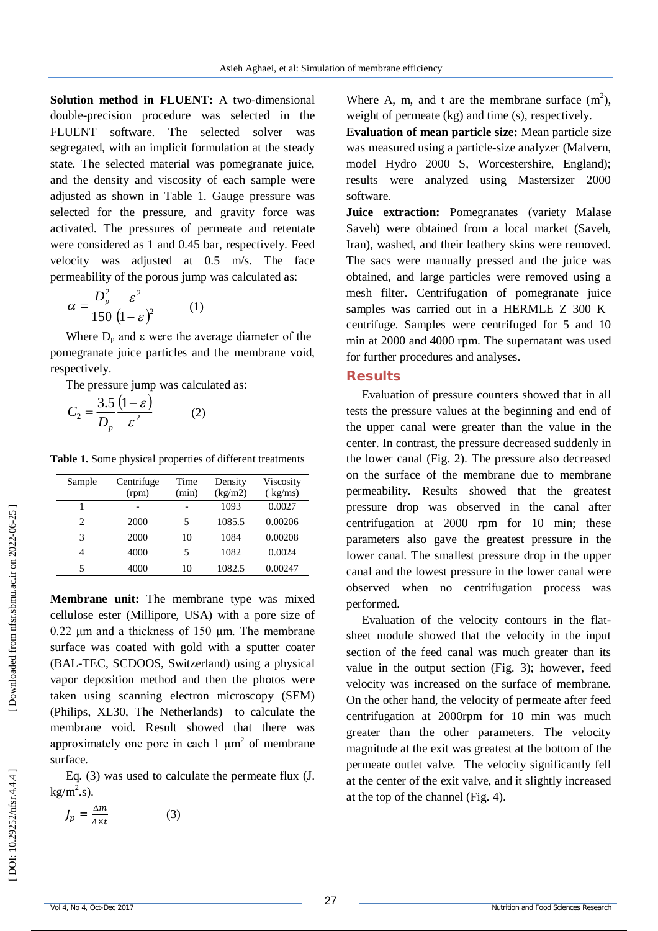Solution method in FLUENT: A two-dimensional double -precision procedure was selected in the FLUENT software. The selected solver was segregated, with an implicit formulation at the steady state. The selected material was pomegranate juice, and the density and viscosity of each sample were adjusted as shown in Table 1. Gauge pressure was selected for the pressure, and gravity force was activated. The pressures of permeate and retentate were considered as 1 and 0.45 bar, respectively. Feed velocity was adjusted at 0.5 m/s. The face permeability of the porous jump was calculated as:

$$
\alpha = \frac{D_p^2}{150} \frac{\varepsilon^2}{(1-\varepsilon)^2} \qquad (1)
$$

Where  $D_p$  and  $\varepsilon$  were the average diameter of the pomegranate juice particles and the membrane void, respectively.

The pressure jump was calculated as:

$$
C_2 = \frac{3.5}{D_p} \frac{(1 - \varepsilon)}{\varepsilon^2} \tag{2}
$$

**Table 1.** Some physical properties of different treatments

| Sample | Centrifuge<br>(rpm) | Time<br>(min) | Density<br>(kg/m2) | Viscosity<br>(kg/ms) |
|--------|---------------------|---------------|--------------------|----------------------|
|        |                     |               | 1093               | 0.0027               |
| 2      | 2000                | 5             | 1085.5             | 0.00206              |
| 3      | 2000                | 10            | 1084               | 0.00208              |
| 4      | 4000                | 5             | 1082               | 0.0024               |
| 5      | 4000                | 10            | 1082.5             | 0.00247              |

**Membrane unit:** The membrane type was mixed cellulose ester (Millipore, USA) with a pore size of  $0.22 \mu m$  and a thickness of 150  $\mu$ m. The membrane surface was coated with gold with a sputter coater (BAL -TEC, SCDOOS, Switzerland) using a physical vapor deposition method and then the photos were taken using scanning electron microscopy (SEM) (Philips, XL30, The Netherlands) to calculate the membrane void. Result showed that there was approximately one pore in each  $1 \mu m^2$  of membrane surface.

Eq. (3) was used to calculate the permeate flux (J.  $kg/m<sup>2</sup>.s$ ).

$$
J_p = \frac{\Delta m}{A \times t} \tag{3}
$$

Where A, m, and t are the membrane surface  $(m^2)$ , weight of permeate (kg) and time (s), respectively.

**Evaluation of mean particle size:** Mean particle size was measured using a particle -size analyzer (Malvern, model Hydro 2000 S, Worcestershire, England); results were analyzed using Mastersizer 2000 software.

**Juice extraction:** Pomegranates (variety Malase Saveh) were obtained from a local market (Saveh, Iran), washed, and their leathery skins were removed. The sacs were manually pressed and the juice was obtained, and large particles were removed using a mesh filter. Centrifugation of pomegranate juice samples was carried out in a HERMLE Z 300 K centrifuge. Samples were centrifuged for 5 and 10 min at 2000 and 4000 rpm. The supernatant was used for further procedures and analyses.

#### **Results**

Evaluation of pressure counters showed that in all tests the pressure values at the beginning and end of the upper canal were greater than the value in the center. In contrast, the pressure decreased suddenly in the lower canal (Fig. 2). The pressure also decreased on the surface of the membrane due to membrane permeability. Results showed that the greatest pressure drop was observed in the canal after centrifugation at 2000 rpm for 10 min; these parameters also gave the greatest pressure in the lower canal. The smallest pressure drop in the upper canal and the lowest pressure in the lower canal were observed when no centrifugation process was performed.

Evaluation of the velocity contours in the flat sheet module showed that the velocity in the input section of the feed canal was much greater than its value in the output section (Fig. 3); however, feed velocity was increased on the surface of membrane. On the other hand, the velocity of permeate after feed centrifugation at 2000rpm for 10 min was much greater than the other parameters. The velocity magnitude at the exit was greatest at the bottom of the permeate outlet valve. The velocity significantly fell at the center of the exit valve, and it slightly increased at the top of the channel (Fig. 4).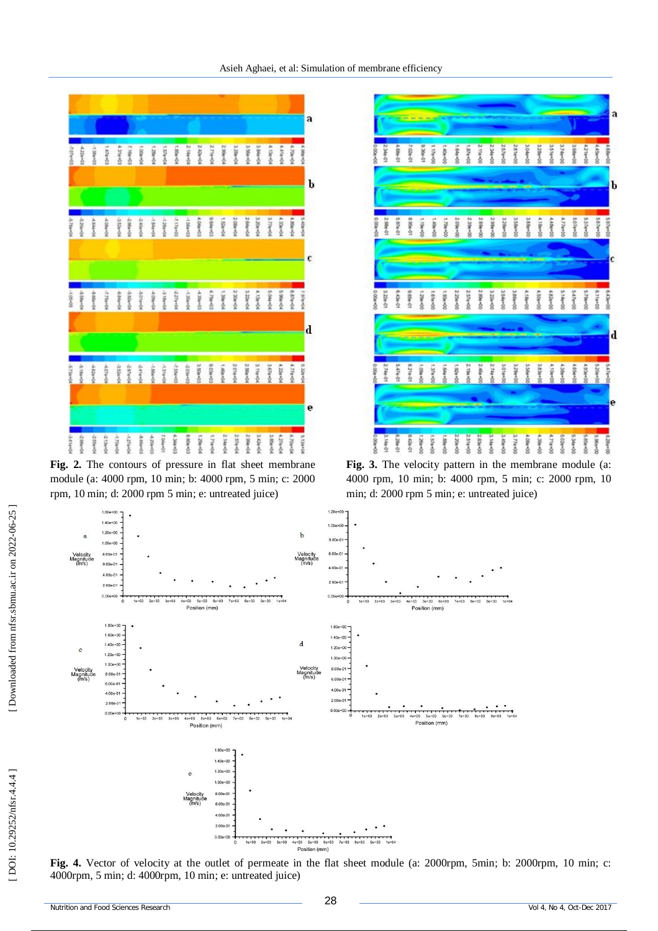

**Fig. 2.** The contours of pressure in flat sheet membrane module (a: 4000 rpm, 10 min; b: 4000 rpm, 5 min; c: 2000 rpm, 10 min; d: 2000 rpm 5 min; e: untreated juice)



**Fig. 3.** The velocity pattern in the membrane module (a: 4000 rpm, 10 min; b: 4000 rpm, 5 min; c: 2000 rpm, 10 min; d: 2000 rpm 5 min; e: untreated juice)



**Fig. 4.** Vector of velocity at the outlet of permeate in the flat sheet module (a: 2000rpm, 5min; b: 2000rpm, 10 min; c: 4000rpm, 5 min; d: 4000rpm, 10 min; e: untreated juice)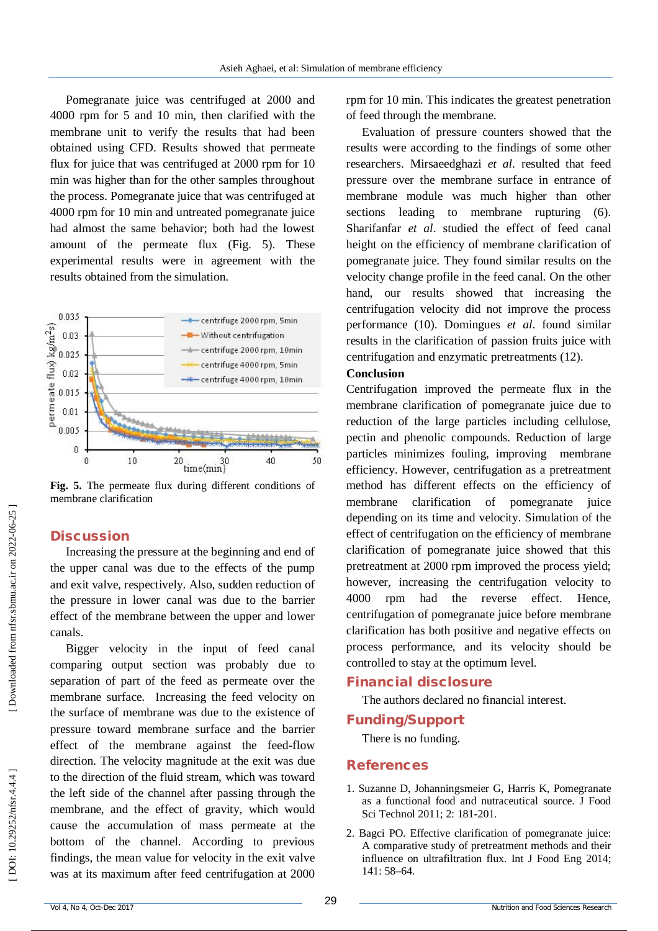Pomegranate juice was centrifuged at 2000 and 4000 rpm for 5 and 10 min, then clarified with the membrane unit to verify the results that had been obtained using CFD. Results showed that permeate flux for juice that was centrifuged at 2000 rpm for 10 min was higher than for the other samples throughout the process. Pomegranate juice that was centrifuged at 4000 rpm for 10 min and untreated pomegranate juice had almost the same behavior; both had the lowest amount of the permeate flux (Fig. 5). These experimental results were in agreement with the results obtained from the simulation.



**Fig. 5.** The permeate flux during different conditions of membrane clarification

#### **Discussion**

Increasing the pressure at the beginning and end of the upper canal was due to the effects of the pump and exit valve, respectively. Also, sudden reduction of the pressure in lower canal was due to the barrier effect of the membrane between the upper and lower canals.

Bigger velocity in the input of feed canal comparing output section was probably due to separation of part of the feed as permeate over the membrane surface. Increasing the feed velocity on the surface of membrane was due to the existence of pressure toward membrane surface and the barrier effect of the membrane against the feed -flow direction. The velocity magnitude at the exit was due to the direction of the fluid stream, which was toward the left side of the channel after passing through the membrane, and the effect of gravity, which would cause the accumulation of mass permeate at the bottom of the channel. According to previous findings, the mean value for velocity in the exit valve was at its maximum after feed centrifugation at 2000

rpm for 10 min. This indicates the greatest penetration of feed through the membrane.

Evaluation of pressure counters showed that the results were according to the findings of some other researchers. Mirsaeedghazi *et al*. resulted that feed pressure over the membrane surface in entrance of membrane module was much higher than other sections leading to membrane rupturing  $(6)$ . Sharifanfar *et al*. studied the effect of feed canal height on the efficiency of membrane clarification of pomegranate juice. They found similar results on the velocity change profile in the feed canal. On the other hand, our results showed that increasing the centrifugation velocity did not improve the process performance (10). Domingues *et al*. found similar results in the clarification of passion fruits juice with centrifugation and enzymatic pretreatments (12).

#### **Conclusion**

Centrifugation improved the permeate flux in the membrane clarification of pomegranate juice due to reduction of the large particles including cellulose, pectin and phenolic compounds. Reduction of large particles minimizes fouling, improving membrane efficiency. However, centrifugation as a pretreatment method has different effects on the efficiency of membrane clarification of pomegranate juice depending on its time and velocity. Simulation of the effect of centrifugation on the efficiency of membrane clarification of pomegranate juice showed that this pretreatment at 2000 rpm improved the process yield; however, increasing the centrifugation velocity to 4000 rpm had the reverse effect. Hence, centrifugation of pomegranate juice before membrane clarification has both positive and negative effects on process performance, and its velocity should be controlled to stay at the optimum level.

#### **Financial disclosure**

The authors declared no financial interest.

### **Funding/Support**

There is no funding.

#### **References**

- 1. Suzanne D, Johanningsmeier G, Harris K, Pomegranate as a functional food and nutraceutical source. J Food Sci Technol 2011; 2: 181 -201.
- 2. Bagci PO. Effective clarification of pomegranate juice: A comparative study of pretreatment methods and their influence on ultrafiltration flux. Int J Food Eng 2014; 141: 58 –64.